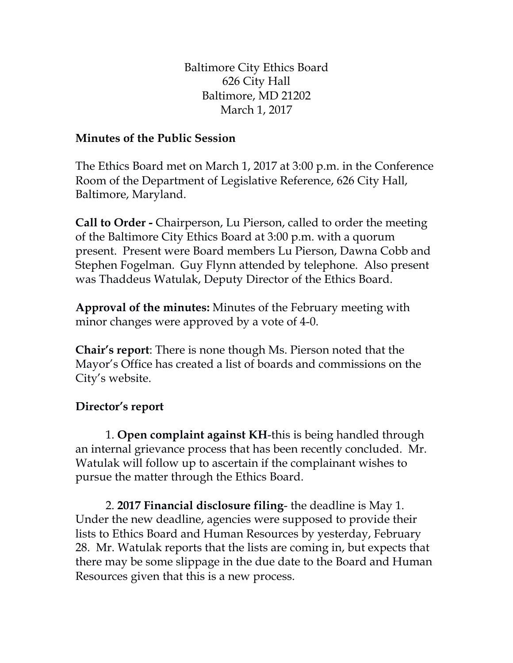Baltimore City Ethics Board 626 City Hall Baltimore, MD 21202 March 1, 2017

## **Minutes of the Public Session**

The Ethics Board met on March 1, 2017 at 3:00 p.m. in the Conference Room of the Department of Legislative Reference, 626 City Hall, Baltimore, Maryland.

**Call to Order -** Chairperson, Lu Pierson, called to order the meeting of the Baltimore City Ethics Board at 3:00 p.m. with a quorum present. Present were Board members Lu Pierson, Dawna Cobb and Stephen Fogelman. Guy Flynn attended by telephone. Also present was Thaddeus Watulak, Deputy Director of the Ethics Board.

**Approval of the minutes:** Minutes of the February meeting with minor changes were approved by a vote of 4-0.

**Chair's report**: There is none though Ms. Pierson noted that the Mayor's Office has created a list of boards and commissions on the City's website.

## **Director's report**

1. **Open complaint against KH**-this is being handled through an internal grievance process that has been recently concluded. Mr. Watulak will follow up to ascertain if the complainant wishes to pursue the matter through the Ethics Board.

2. **2017 Financial disclosure filing**- the deadline is May 1. Under the new deadline, agencies were supposed to provide their lists to Ethics Board and Human Resources by yesterday, February 28. Mr. Watulak reports that the lists are coming in, but expects that there may be some slippage in the due date to the Board and Human Resources given that this is a new process.